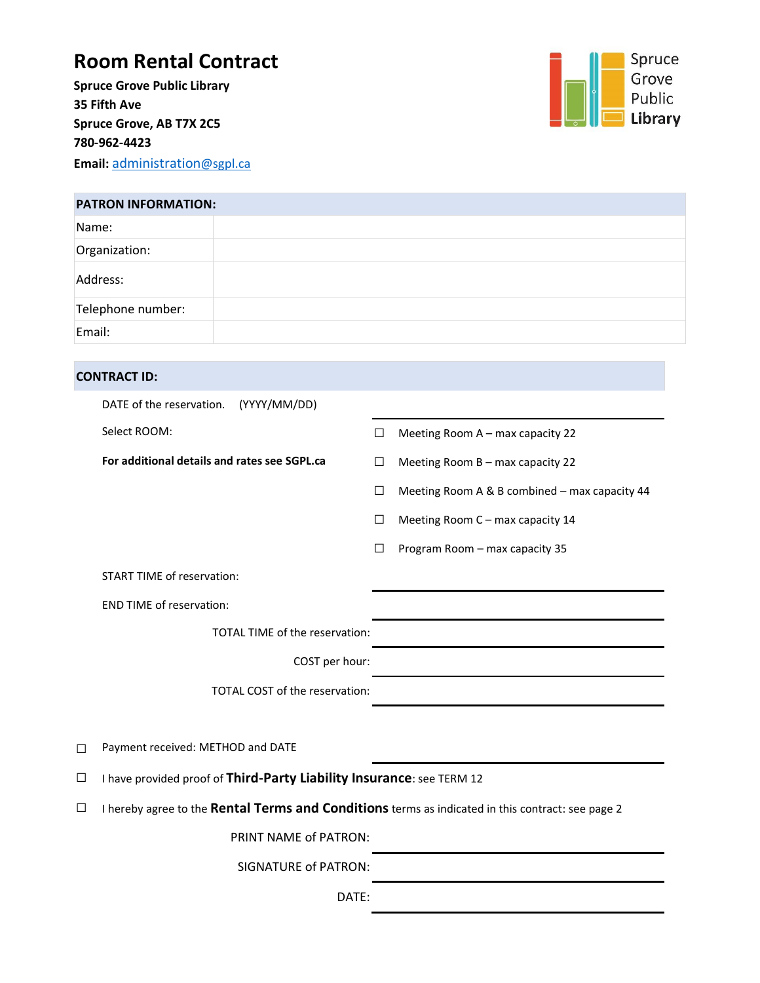## **Room Rental Contract**

**Spruce Grove Public Library 35 Fifth Ave Spruce Grove, AB T7X 2C5 780-962-4423 Email:** [administration](mailto:administration@sgpl.ca)@sgpl.ca



| <b>PATRON INFORMATION:</b> |  |  |  |  |
|----------------------------|--|--|--|--|
| Name:                      |  |  |  |  |
| Organization:              |  |  |  |  |
| Address:                   |  |  |  |  |
| Telephone number:          |  |  |  |  |
| Email:                     |  |  |  |  |

#### **CONTRACT ID:**

|        | DATE of the reservation.<br>(YYYY/MM/DD)                                                          |        |                                               |  |  |
|--------|---------------------------------------------------------------------------------------------------|--------|-----------------------------------------------|--|--|
|        | Select ROOM:                                                                                      | □      | Meeting Room A - max capacity 22              |  |  |
|        | For additional details and rates see SGPL.ca                                                      | $\Box$ | Meeting Room B - max capacity 22              |  |  |
|        |                                                                                                   | □      | Meeting Room A & B combined - max capacity 44 |  |  |
|        |                                                                                                   | $\Box$ | Meeting Room C - max capacity 14              |  |  |
|        |                                                                                                   | □      | Program Room - max capacity 35                |  |  |
|        | <b>START TIME of reservation:</b>                                                                 |        |                                               |  |  |
|        | <b>END TIME of reservation:</b>                                                                   |        |                                               |  |  |
|        | TOTAL TIME of the reservation:                                                                    |        |                                               |  |  |
|        | COST per hour:                                                                                    |        |                                               |  |  |
|        | TOTAL COST of the reservation:                                                                    |        |                                               |  |  |
|        |                                                                                                   |        |                                               |  |  |
| $\Box$ | Payment received: METHOD and DATE                                                                 |        |                                               |  |  |
| $\Box$ | I have provided proof of Third-Party Liability Insurance: see TERM 12                             |        |                                               |  |  |
| $\Box$ | I hereby agree to the Rental Terms and Conditions terms as indicated in this contract: see page 2 |        |                                               |  |  |
|        | PRINT NAME of PATRON:                                                                             |        |                                               |  |  |
|        | <b>SIGNATURE of PATRON:</b>                                                                       |        |                                               |  |  |
|        | DATE:                                                                                             |        |                                               |  |  |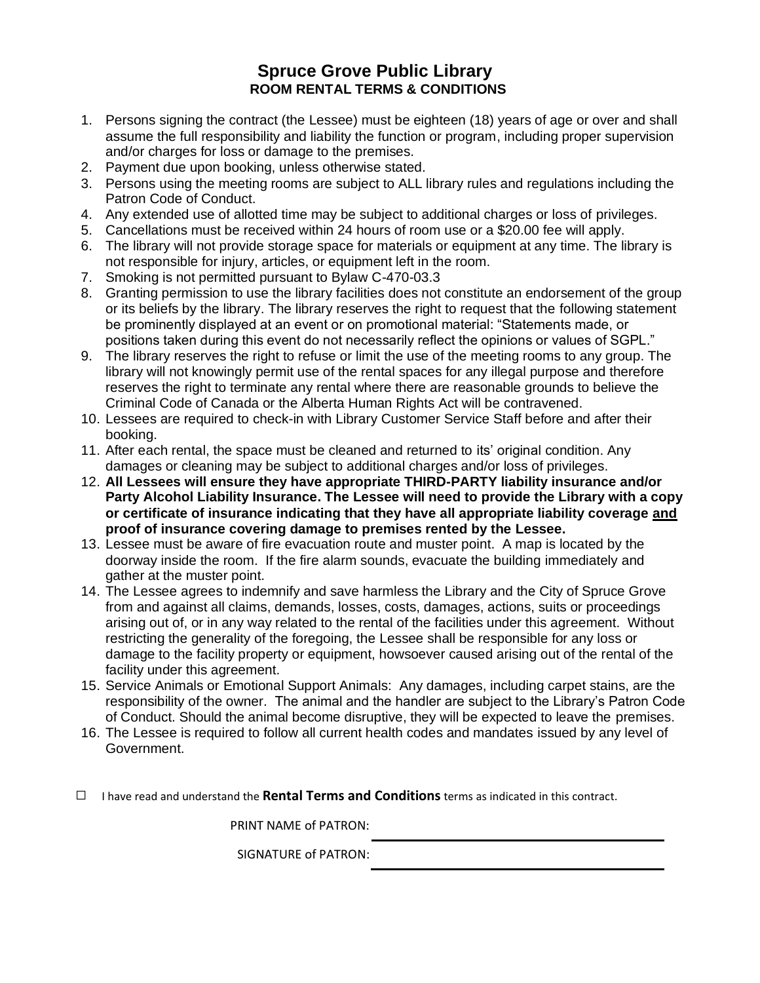#### **Spruce Grove Public Library ROOM RENTAL TERMS & CONDITIONS**

- 1. Persons signing the contract (the Lessee) must be eighteen (18) years of age or over and shall assume the full responsibility and liability the function or program, including proper supervision and/or charges for loss or damage to the premises.
- 2. Payment due upon booking, unless otherwise stated.
- 3. Persons using the meeting rooms are subject to ALL library rules and regulations including the Patron Code of Conduct.
- 4. Any extended use of allotted time may be subject to additional charges or loss of privileges.
- 5. Cancellations must be received within 24 hours of room use or a \$20.00 fee will apply.
- 6. The library will not provide storage space for materials or equipment at any time. The library is not responsible for injury, articles, or equipment left in the room.
- 7. Smoking is not permitted pursuant to Bylaw C-470-03.3
- 8. Granting permission to use the library facilities does not constitute an endorsement of the group or its beliefs by the library. The library reserves the right to request that the following statement be prominently displayed at an event or on promotional material: "Statements made, or positions taken during this event do not necessarily reflect the opinions or values of SGPL."
- 9. The library reserves the right to refuse or limit the use of the meeting rooms to any group. The library will not knowingly permit use of the rental spaces for any illegal purpose and therefore reserves the right to terminate any rental where there are reasonable grounds to believe the Criminal Code of Canada or the Alberta Human Rights Act will be contravened.
- 10. Lessees are required to check-in with Library Customer Service Staff before and after their booking.
- 11. After each rental, the space must be cleaned and returned to its' original condition. Any damages or cleaning may be subject to additional charges and/or loss of privileges.
- 12. **All Lessees will ensure they have appropriate THIRD-PARTY liability insurance and/or Party Alcohol Liability Insurance. The Lessee will need to provide the Library with a copy or certificate of insurance indicating that they have all appropriate liability coverage and proof of insurance covering damage to premises rented by the Lessee.**
- 13. Lessee must be aware of fire evacuation route and muster point. A map is located by the doorway inside the room. If the fire alarm sounds, evacuate the building immediately and gather at the muster point.
- 14. The Lessee agrees to indemnify and save harmless the Library and the City of Spruce Grove from and against all claims, demands, losses, costs, damages, actions, suits or proceedings arising out of, or in any way related to the rental of the facilities under this agreement. Without restricting the generality of the foregoing, the Lessee shall be responsible for any loss or damage to the facility property or equipment, howsoever caused arising out of the rental of the facility under this agreement.
- 15. Service Animals or Emotional Support Animals: Any damages, including carpet stains, are the responsibility of the owner. The animal and the handler are subject to the Library's Patron Code of Conduct. Should the animal become disruptive, they will be expected to leave the premises.
- 16. The Lessee is required to follow all current health codes and mandates issued by any level of Government.
- ☐ I have read and understand the **Rental Terms and Conditions** terms as indicated in this contract.

PRINT NAME of PATRON:

SIGNATURE of PATRON: